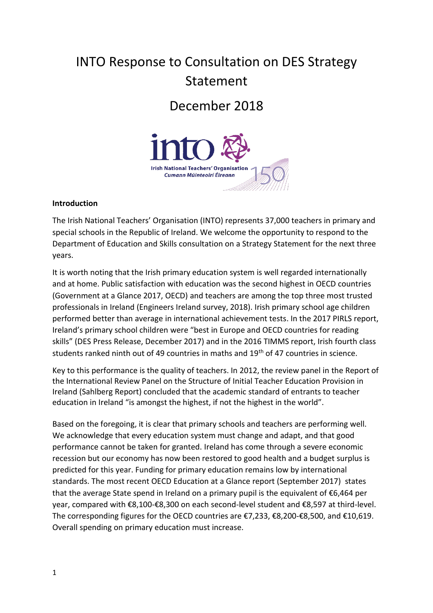# INTO Response to Consultation on DES Strategy Statement

# December 2018



#### **Introduction**

The Irish National Teachers' Organisation (INTO) represents 37,000 teachers in primary and special schools in the Republic of Ireland. We welcome the opportunity to respond to the Department of Education and Skills consultation on a Strategy Statement for the next three years.

It is worth noting that the Irish primary education system is well regarded internationally and at home. Public satisfaction with education was the second highest in OECD countries (Government at a Glance 2017, OECD) and teachers are among the top three most trusted professionals in Ireland (Engineers Ireland survey, 2018). Irish primary school age children performed better than average in international achievement tests. In the 2017 PIRLS report, Ireland's primary school children were "best in Europe and OECD countries for reading skills" (DES Press Release, December 2017) and in the 2016 TIMMS report, Irish fourth class students ranked ninth out of 49 countries in maths and  $19<sup>th</sup>$  of 47 countries in science.

Key to this performance is the quality of teachers. In 2012, the review panel in the Report of the International Review Panel on the Structure of Initial Teacher Education Provision in Ireland (Sahlberg Report) concluded that the academic standard of entrants to teacher education in Ireland "is amongst the highest, if not the highest in the world".

Based on the foregoing, it is clear that primary schools and teachers are performing well. We acknowledge that every education system must change and adapt, and that good performance cannot be taken for granted. Ireland has come through a severe economic recession but our economy has now been restored to good health and a budget surplus is predicted for this year. Funding for primary education remains low by international standards. The most recent OECD Education at a Glance report (September 2017) states that the average State spend in Ireland on a primary pupil is the equivalent of €6,464 per year, compared with €8,100-€8,300 on each second-level student and €8,597 at third-level. The corresponding figures for the OECD countries are €7,233, €8,200-€8,500, and €10,619. Overall spending on primary education must increase.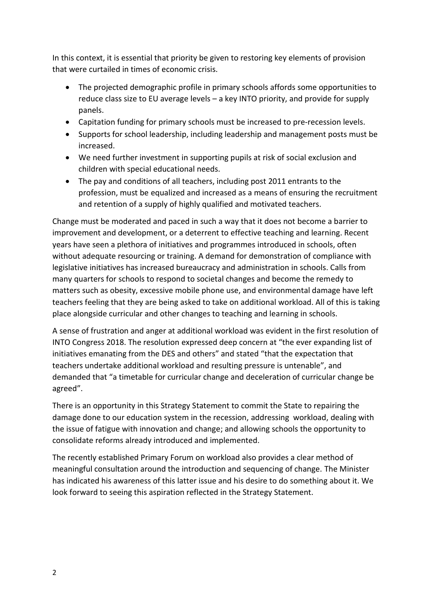In this context, it is essential that priority be given to restoring key elements of provision that were curtailed in times of economic crisis.

- The projected demographic profile in primary schools affords some opportunities to reduce class size to EU average levels – a key INTO priority, and provide for supply panels.
- Capitation funding for primary schools must be increased to pre-recession levels.
- Supports for school leadership, including leadership and management posts must be increased.
- We need further investment in supporting pupils at risk of social exclusion and children with special educational needs.
- The pay and conditions of all teachers, including post 2011 entrants to the profession, must be equalized and increased as a means of ensuring the recruitment and retention of a supply of highly qualified and motivated teachers.

Change must be moderated and paced in such a way that it does not become a barrier to improvement and development, or a deterrent to effective teaching and learning. Recent years have seen a plethora of initiatives and programmes introduced in schools, often without adequate resourcing or training. A demand for demonstration of compliance with legislative initiatives has increased bureaucracy and administration in schools. Calls from many quarters for schools to respond to societal changes and become the remedy to matters such as obesity, excessive mobile phone use, and environmental damage have left teachers feeling that they are being asked to take on additional workload. All of this is taking place alongside curricular and other changes to teaching and learning in schools.

A sense of frustration and anger at additional workload was evident in the first resolution of INTO Congress 2018. The resolution expressed deep concern at "the ever expanding list of initiatives emanating from the DES and others" and stated "that the expectation that teachers undertake additional workload and resulting pressure is untenable", and demanded that "a timetable for curricular change and deceleration of curricular change be agreed".

There is an opportunity in this Strategy Statement to commit the State to repairing the damage done to our education system in the recession, addressing workload, dealing with the issue of fatigue with innovation and change; and allowing schools the opportunity to consolidate reforms already introduced and implemented.

The recently established Primary Forum on workload also provides a clear method of meaningful consultation around the introduction and sequencing of change. The Minister has indicated his awareness of this latter issue and his desire to do something about it. We look forward to seeing this aspiration reflected in the Strategy Statement.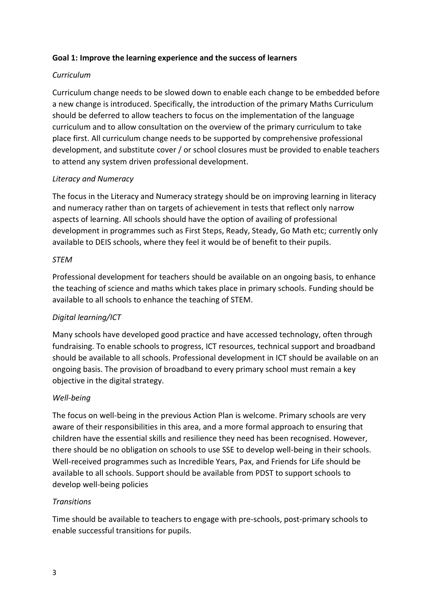#### **Goal 1: Improve the learning experience and the success of learners**

#### *Curriculum*

Curriculum change needs to be slowed down to enable each change to be embedded before a new change is introduced. Specifically, the introduction of the primary Maths Curriculum should be deferred to allow teachers to focus on the implementation of the language curriculum and to allow consultation on the overview of the primary curriculum to take place first. All curriculum change needs to be supported by comprehensive professional development, and substitute cover / or school closures must be provided to enable teachers to attend any system driven professional development.

#### *Literacy and Numeracy*

The focus in the Literacy and Numeracy strategy should be on improving learning in literacy and numeracy rather than on targets of achievement in tests that reflect only narrow aspects of learning. All schools should have the option of availing of professional development in programmes such as First Steps, Ready, Steady, Go Math etc; currently only available to DEIS schools, where they feel it would be of benefit to their pupils.

#### *STEM*

Professional development for teachers should be available on an ongoing basis, to enhance the teaching of science and maths which takes place in primary schools. Funding should be available to all schools to enhance the teaching of STEM.

#### *Digital learning/ICT*

Many schools have developed good practice and have accessed technology, often through fundraising. To enable schools to progress, ICT resources, technical support and broadband should be available to all schools. Professional development in ICT should be available on an ongoing basis. The provision of broadband to every primary school must remain a key objective in the digital strategy.

#### *Well-being*

The focus on well-being in the previous Action Plan is welcome. Primary schools are very aware of their responsibilities in this area, and a more formal approach to ensuring that children have the essential skills and resilience they need has been recognised. However, there should be no obligation on schools to use SSE to develop well-being in their schools. Well-received programmes such as Incredible Years, Pax, and Friends for Life should be available to all schools. Support should be available from PDST to support schools to develop well-being policies

#### *Transitions*

Time should be available to teachers to engage with pre-schools, post-primary schools to enable successful transitions for pupils.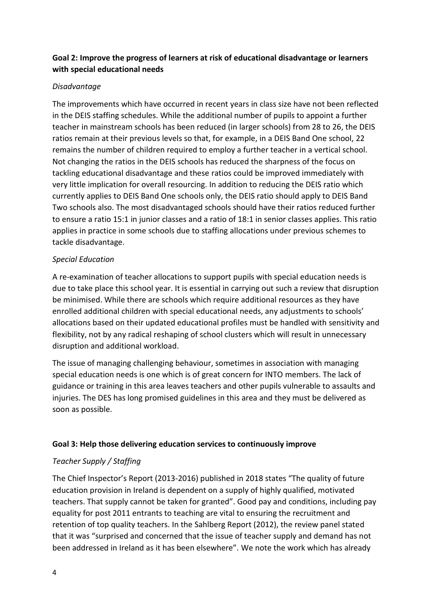# **Goal 2: Improve the progress of learners at risk of educational disadvantage or learners with special educational needs**

#### *Disadvantage*

The improvements which have occurred in recent years in class size have not been reflected in the DEIS staffing schedules. While the additional number of pupils to appoint a further teacher in mainstream schools has been reduced (in larger schools) from 28 to 26, the DEIS ratios remain at their previous levels so that, for example, in a DEIS Band One school, 22 remains the number of children required to employ a further teacher in a vertical school. Not changing the ratios in the DEIS schools has reduced the sharpness of the focus on tackling educational disadvantage and these ratios could be improved immediately with very little implication for overall resourcing. In addition to reducing the DEIS ratio which currently applies to DEIS Band One schools only, the DEIS ratio should apply to DEIS Band Two schools also. The most disadvantaged schools should have their ratios reduced further to ensure a ratio 15:1 in junior classes and a ratio of 18:1 in senior classes applies. This ratio applies in practice in some schools due to staffing allocations under previous schemes to tackle disadvantage.

#### *Special Education*

A re-examination of teacher allocations to support pupils with special education needs is due to take place this school year. It is essential in carrying out such a review that disruption be minimised. While there are schools which require additional resources as they have enrolled additional children with special educational needs, any adjustments to schools' allocations based on their updated educational profiles must be handled with sensitivity and flexibility, not by any radical reshaping of school clusters which will result in unnecessary disruption and additional workload.

The issue of managing challenging behaviour, sometimes in association with managing special education needs is one which is of great concern for INTO members. The lack of guidance or training in this area leaves teachers and other pupils vulnerable to assaults and injuries. The DES has long promised guidelines in this area and they must be delivered as soon as possible.

#### **Goal 3: Help those delivering education services to continuously improve**

#### *Teacher Supply / Staffing*

The Chief Inspector's Report (2013-2016) published in 2018 states "The quality of future education provision in Ireland is dependent on a supply of highly qualified, motivated teachers. That supply cannot be taken for granted". Good pay and conditions, including pay equality for post 2011 entrants to teaching are vital to ensuring the recruitment and retention of top quality teachers. In the Sahlberg Report (2012), the review panel stated that it was "surprised and concerned that the issue of teacher supply and demand has not been addressed in Ireland as it has been elsewhere". We note the work which has already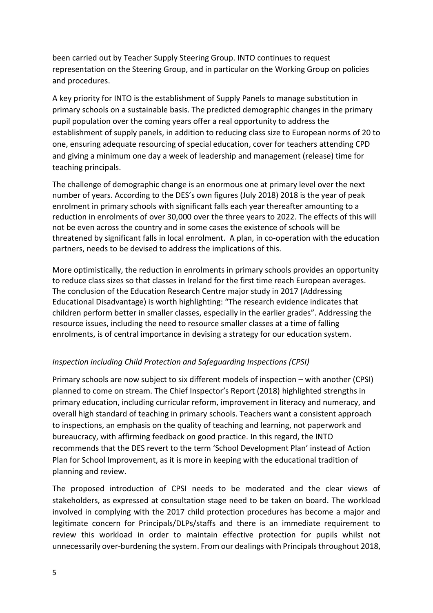been carried out by Teacher Supply Steering Group. INTO continues to request representation on the Steering Group, and in particular on the Working Group on policies and procedures.

A key priority for INTO is the establishment of Supply Panels to manage substitution in primary schools on a sustainable basis. The predicted demographic changes in the primary pupil population over the coming years offer a real opportunity to address the establishment of supply panels, in addition to reducing class size to European norms of 20 to one, ensuring adequate resourcing of special education, cover for teachers attending CPD and giving a minimum one day a week of leadership and management (release) time for teaching principals.

The challenge of demographic change is an enormous one at primary level over the next number of years. According to the DES's own figures (July 2018) 2018 is the year of peak enrolment in primary schools with significant falls each year thereafter amounting to a reduction in enrolments of over 30,000 over the three years to 2022. The effects of this will not be even across the country and in some cases the existence of schools will be threatened by significant falls in local enrolment. A plan, in co-operation with the education partners, needs to be devised to address the implications of this.

More optimistically, the reduction in enrolments in primary schools provides an opportunity to reduce class sizes so that classes in Ireland for the first time reach European averages. The conclusion of the Education Research Centre major study in 2017 (Addressing Educational Disadvantage) is worth highlighting: "The research evidence indicates that children perform better in smaller classes, especially in the earlier grades". Addressing the resource issues, including the need to resource smaller classes at a time of falling enrolments, is of central importance in devising a strategy for our education system.

# *Inspection including Child Protection and Safeguarding Inspections (CPSI)*

Primary schools are now subject to six different models of inspection – with another (CPSI) planned to come on stream. The Chief Inspector's Report (2018) highlighted strengths in primary education, including curricular reform, improvement in literacy and numeracy, and overall high standard of teaching in primary schools. Teachers want a consistent approach to inspections, an emphasis on the quality of teaching and learning, not paperwork and bureaucracy, with affirming feedback on good practice. In this regard, the INTO recommends that the DES revert to the term 'School Development Plan' instead of Action Plan for School Improvement, as it is more in keeping with the educational tradition of planning and review.

The proposed introduction of CPSI needs to be moderated and the clear views of stakeholders, as expressed at consultation stage need to be taken on board. The workload involved in complying with the 2017 child protection procedures has become a major and legitimate concern for Principals/DLPs/staffs and there is an immediate requirement to review this workload in order to maintain effective protection for pupils whilst not unnecessarily over-burdening the system. From our dealings with Principals throughout 2018,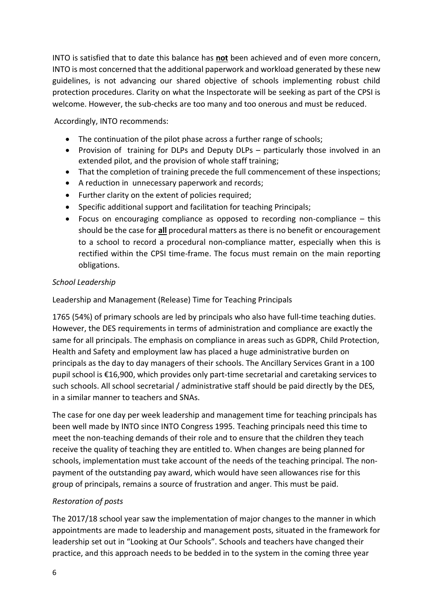INTO is satisfied that to date this balance has **not** been achieved and of even more concern, INTO is most concerned that the additional paperwork and workload generated by these new guidelines, is not advancing our shared objective of schools implementing robust child protection procedures. Clarity on what the Inspectorate will be seeking as part of the CPSI is welcome. However, the sub-checks are too many and too onerous and must be reduced.

Accordingly, INTO recommends:

- The continuation of the pilot phase across a further range of schools;
- Provision of training for DLPs and Deputy DLPs particularly those involved in an extended pilot, and the provision of whole staff training;
- That the completion of training precede the full commencement of these inspections;
- A reduction in unnecessary paperwork and records;
- Further clarity on the extent of policies required;
- Specific additional support and facilitation for teaching Principals;
- Focus on encouraging compliance as opposed to recording non-compliance this should be the case for **all** procedural matters as there is no benefit or encouragement to a school to record a procedural non-compliance matter, especially when this is rectified within the CPSI time-frame. The focus must remain on the main reporting obligations.

#### *School Leadership*

Leadership and Management (Release) Time for Teaching Principals

1765 (54%) of primary schools are led by principals who also have full-time teaching duties. However, the DES requirements in terms of administration and compliance are exactly the same for all principals. The emphasis on compliance in areas such as GDPR, Child Protection, Health and Safety and employment law has placed a huge administrative burden on principals as the day to day managers of their schools. The Ancillary Services Grant in a 100 pupil school is €16,900, which provides only part-time secretarial and caretaking services to such schools. All school secretarial / administrative staff should be paid directly by the DES, in a similar manner to teachers and SNAs.

The case for one day per week leadership and management time for teaching principals has been well made by INTO since INTO Congress 1995. Teaching principals need this time to meet the non-teaching demands of their role and to ensure that the children they teach receive the quality of teaching they are entitled to. When changes are being planned for schools, implementation must take account of the needs of the teaching principal. The nonpayment of the outstanding pay award, which would have seen allowances rise for this group of principals, remains a source of frustration and anger. This must be paid.

# *Restoration of posts*

The 2017/18 school year saw the implementation of major changes to the manner in which appointments are made to leadership and management posts, situated in the framework for leadership set out in "Looking at Our Schools". Schools and teachers have changed their practice, and this approach needs to be bedded in to the system in the coming three year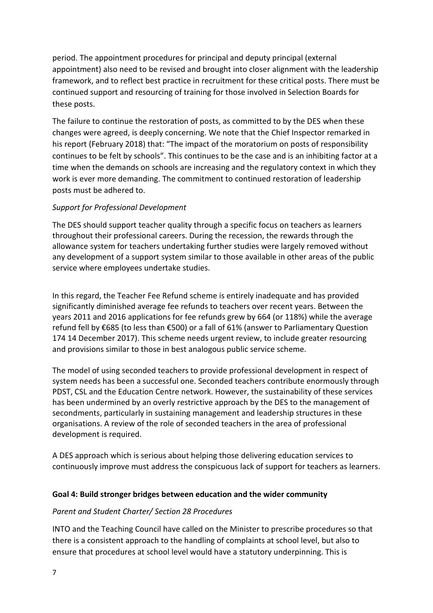period. The appointment procedures for principal and deputy principal (external appointment) also need to be revised and brought into closer alignment with the leadership framework, and to reflect best practice in recruitment for these critical posts. There must be continued support and resourcing of training for those involved in Selection Boards for these posts.

The failure to continue the restoration of posts, as committed to by the DES when these changes were agreed, is deeply concerning. We note that the Chief Inspector remarked in his report (February 2018) that: "The impact of the moratorium on posts of responsibility continues to be felt by schools". This continues to be the case and is an inhibiting factor at a time when the demands on schools are increasing and the regulatory context in which they work is ever more demanding. The commitment to continued restoration of leadership posts must be adhered to.

#### *Support for Professional Development*

The DES should support teacher quality through a specific focus on teachers as learners throughout their professional careers. During the recession, the rewards through the allowance system for teachers undertaking further studies were largely removed without any development of a support system similar to those available in other areas of the public service where employees undertake studies.

In this regard, the Teacher Fee Refund scheme is entirely inadequate and has provided significantly diminished average fee refunds to teachers over recent years. Between the years 2011 and 2016 applications for fee refunds grew by 664 (or 118%) while the average refund fell by €685 (to less than €500) or a fall of 61% (answer to Parliamentary Question 174 14 December 2017). This scheme needs urgent review, to include greater resourcing and provisions similar to those in best analogous public service scheme.

The model of using seconded teachers to provide professional development in respect of system needs has been a successful one. Seconded teachers contribute enormously through PDST, CSL and the Education Centre network. However, the sustainability of these services has been undermined by an overly restrictive approach by the DES to the management of secondments, particularly in sustaining management and leadership structures in these organisations. A review of the role of seconded teachers in the area of professional development is required.

A DES approach which is serious about helping those delivering education services to continuously improve must address the conspicuous lack of support for teachers as learners.

#### **Goal 4: Build stronger bridges between education and the wider community**

#### *Parent and Student Charter/ Section 28 Procedures*

INTO and the Teaching Council have called on the Minister to prescribe procedures so that there is a consistent approach to the handling of complaints at school level, but also to ensure that procedures at school level would have a statutory underpinning. This is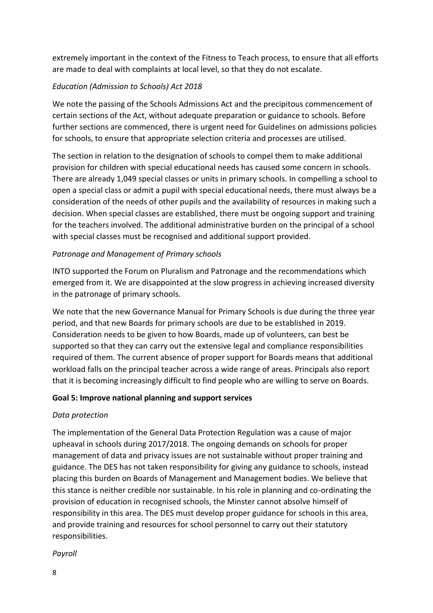extremely important in the context of the Fitness to Teach process, to ensure that all efforts are made to deal with complaints at local level, so that they do not escalate.

# *Education (Admission to Schools) Act 2018*

We note the passing of the Schools Admissions Act and the precipitous commencement of certain sections of the Act, without adequate preparation or guidance to schools. Before further sections are commenced, there is urgent need for Guidelines on admissions policies for schools, to ensure that appropriate selection criteria and processes are utilised.

The section in relation to the designation of schools to compel them to make additional provision for children with special educational needs has caused some concern in schools. There are already 1,049 special classes or units in primary schools. In compelling a school to open a special class or admit a pupil with special educational needs, there must always be a consideration of the needs of other pupils and the availability of resources in making such a decision. When special classes are established, there must be ongoing support and training for the teachers involved. The additional administrative burden on the principal of a school with special classes must be recognised and additional support provided.

### *Patronage and Management of Primary schools*

INTO supported the Forum on Pluralism and Patronage and the recommendations which emerged from it. We are disappointed at the slow progress in achieving increased diversity in the patronage of primary schools.

We note that the new Governance Manual for Primary Schools is due during the three year period, and that new Boards for primary schools are due to be established in 2019. Consideration needs to be given to how Boards, made up of volunteers, can best be supported so that they can carry out the extensive legal and compliance responsibilities required of them. The current absence of proper support for Boards means that additional workload falls on the principal teacher across a wide range of areas. Principals also report that it is becoming increasingly difficult to find people who are willing to serve on Boards.

#### **Goal 5: Improve national planning and support services**

#### *Data protection*

The implementation of the General Data Protection Regulation was a cause of major upheaval in schools during 2017/2018. The ongoing demands on schools for proper management of data and privacy issues are not sustainable without proper training and guidance. The DES has not taken responsibility for giving any guidance to schools, instead placing this burden on Boards of Management and Management bodies. We believe that this stance is neither credible nor sustainable. In his role in planning and co-ordinating the provision of education in recognised schools, the Minster cannot absolve himself of responsibility in this area. The DES must develop proper guidance for schools in this area, and provide training and resources for school personnel to carry out their statutory responsibilities.

*Payroll*